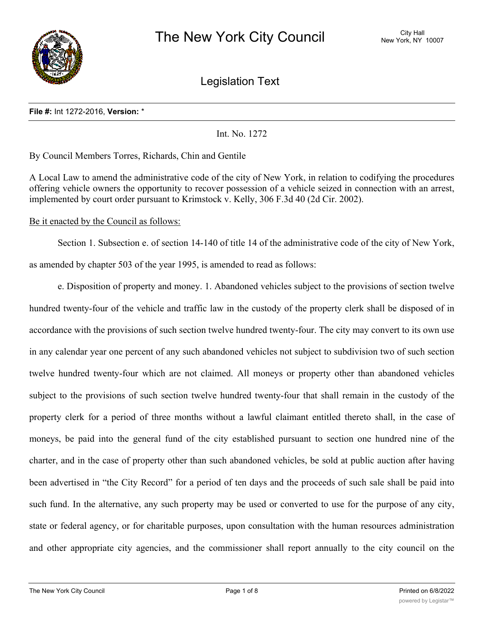

Legislation Text

#### **File #:** Int 1272-2016, **Version:** \*

Int. No. 1272

By Council Members Torres, Richards, Chin and Gentile

A Local Law to amend the administrative code of the city of New York, in relation to codifying the procedures offering vehicle owners the opportunity to recover possession of a vehicle seized in connection with an arrest, implemented by court order pursuant to Krimstock v. Kelly, 306 F.3d 40 (2d Cir. 2002).

Be it enacted by the Council as follows:

Section 1. Subsection e. of section 14-140 of title 14 of the administrative code of the city of New York, as amended by chapter 503 of the year 1995, is amended to read as follows:

e. Disposition of property and money. 1. Abandoned vehicles subject to the provisions of section twelve hundred twenty-four of the vehicle and traffic law in the custody of the property clerk shall be disposed of in accordance with the provisions of such section twelve hundred twenty-four. The city may convert to its own use in any calendar year one percent of any such abandoned vehicles not subject to subdivision two of such section twelve hundred twenty-four which are not claimed. All moneys or property other than abandoned vehicles subject to the provisions of such section twelve hundred twenty-four that shall remain in the custody of the property clerk for a period of three months without a lawful claimant entitled thereto shall, in the case of moneys, be paid into the general fund of the city established pursuant to section one hundred nine of the charter, and in the case of property other than such abandoned vehicles, be sold at public auction after having been advertised in "the City Record" for a period of ten days and the proceeds of such sale shall be paid into such fund. In the alternative, any such property may be used or converted to use for the purpose of any city, state or federal agency, or for charitable purposes, upon consultation with the human resources administration and other appropriate city agencies, and the commissioner shall report annually to the city council on the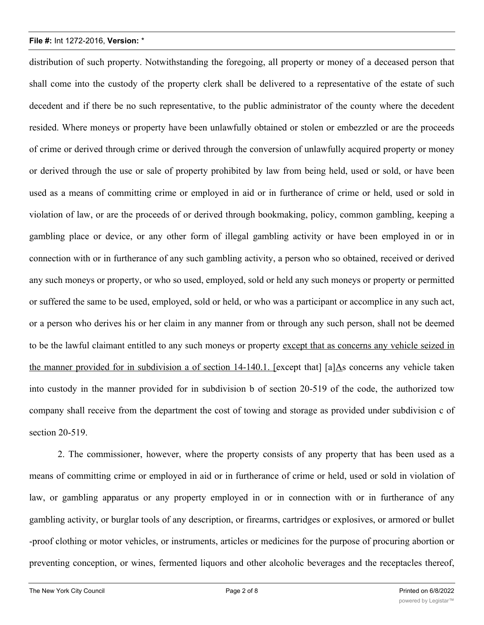distribution of such property. Notwithstanding the foregoing, all property or money of a deceased person that shall come into the custody of the property clerk shall be delivered to a representative of the estate of such decedent and if there be no such representative, to the public administrator of the county where the decedent resided. Where moneys or property have been unlawfully obtained or stolen or embezzled or are the proceeds of crime or derived through crime or derived through the conversion of unlawfully acquired property or money or derived through the use or sale of property prohibited by law from being held, used or sold, or have been used as a means of committing crime or employed in aid or in furtherance of crime or held, used or sold in violation of law, or are the proceeds of or derived through bookmaking, policy, common gambling, keeping a gambling place or device, or any other form of illegal gambling activity or have been employed in or in connection with or in furtherance of any such gambling activity, a person who so obtained, received or derived any such moneys or property, or who so used, employed, sold or held any such moneys or property or permitted or suffered the same to be used, employed, sold or held, or who was a participant or accomplice in any such act, or a person who derives his or her claim in any manner from or through any such person, shall not be deemed to be the lawful claimant entitled to any such moneys or property except that as concerns any vehicle seized in the manner provided for in subdivision a of section 14-140.1. [except that] [a]As concerns any vehicle taken into custody in the manner provided for in subdivision b of section 20-519 of the code, the authorized tow company shall receive from the department the cost of towing and storage as provided under subdivision c of section 20-519.

2. The commissioner, however, where the property consists of any property that has been used as a means of committing crime or employed in aid or in furtherance of crime or held, used or sold in violation of law, or gambling apparatus or any property employed in or in connection with or in furtherance of any gambling activity, or burglar tools of any description, or firearms, cartridges or explosives, or armored or bullet -proof clothing or motor vehicles, or instruments, articles or medicines for the purpose of procuring abortion or preventing conception, or wines, fermented liquors and other alcoholic beverages and the receptacles thereof,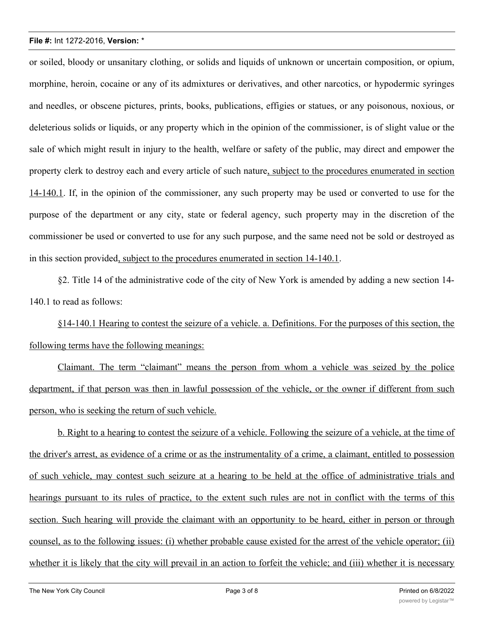or soiled, bloody or unsanitary clothing, or solids and liquids of unknown or uncertain composition, or opium, morphine, heroin, cocaine or any of its admixtures or derivatives, and other narcotics, or hypodermic syringes and needles, or obscene pictures, prints, books, publications, effigies or statues, or any poisonous, noxious, or deleterious solids or liquids, or any property which in the opinion of the commissioner, is of slight value or the sale of which might result in injury to the health, welfare or safety of the public, may direct and empower the property clerk to destroy each and every article of such nature, subject to the procedures enumerated in section 14-140.1. If, in the opinion of the commissioner, any such property may be used or converted to use for the purpose of the department or any city, state or federal agency, such property may in the discretion of the commissioner be used or converted to use for any such purpose, and the same need not be sold or destroyed as in this section provided, subject to the procedures enumerated in section 14-140.1.

§2. Title 14 of the administrative code of the city of New York is amended by adding a new section 14- 140.1 to read as follows:

§14-140.1 Hearing to contest the seizure of a vehicle. a. Definitions. For the purposes of this section, the following terms have the following meanings:

Claimant. The term "claimant" means the person from whom a vehicle was seized by the police department, if that person was then in lawful possession of the vehicle, or the owner if different from such person, who is seeking the return of such vehicle.

b. Right to a hearing to contest the seizure of a vehicle. Following the seizure of a vehicle, at the time of the driver's arrest, as evidence of a crime or as the instrumentality of a crime, a claimant, entitled to possession of such vehicle, may contest such seizure at a hearing to be held at the office of administrative trials and hearings pursuant to its rules of practice, to the extent such rules are not in conflict with the terms of this section. Such hearing will provide the claimant with an opportunity to be heard, either in person or through counsel, as to the following issues: (i) whether probable cause existed for the arrest of the vehicle operator; (ii) whether it is likely that the city will prevail in an action to forfeit the vehicle; and (iii) whether it is necessary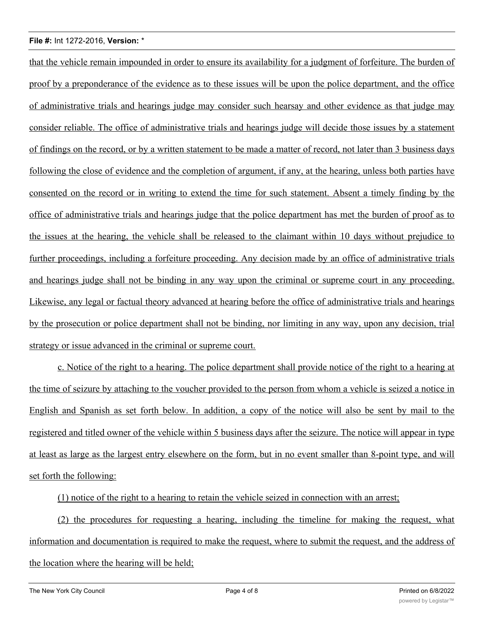that the vehicle remain impounded in order to ensure its availability for a judgment of forfeiture. The burden of proof by a preponderance of the evidence as to these issues will be upon the police department, and the office of administrative trials and hearings judge may consider such hearsay and other evidence as that judge may consider reliable. The office of administrative trials and hearings judge will decide those issues by a statement of findings on the record, or by a written statement to be made a matter of record, not later than 3 business days following the close of evidence and the completion of argument, if any, at the hearing, unless both parties have consented on the record or in writing to extend the time for such statement. Absent a timely finding by the office of administrative trials and hearings judge that the police department has met the burden of proof as to the issues at the hearing, the vehicle shall be released to the claimant within 10 days without prejudice to further proceedings, including a forfeiture proceeding. Any decision made by an office of administrative trials and hearings judge shall not be binding in any way upon the criminal or supreme court in any proceeding. Likewise, any legal or factual theory advanced at hearing before the office of administrative trials and hearings by the prosecution or police department shall not be binding, nor limiting in any way, upon any decision, trial strategy or issue advanced in the criminal or supreme court.

c. Notice of the right to a hearing. The police department shall provide notice of the right to a hearing at the time of seizure by attaching to the voucher provided to the person from whom a vehicle is seized a notice in English and Spanish as set forth below. In addition, a copy of the notice will also be sent by mail to the registered and titled owner of the vehicle within 5 business days after the seizure. The notice will appear in type at least as large as the largest entry elsewhere on the form, but in no event smaller than 8-point type, and will set forth the following:

(1) notice of the right to a hearing to retain the vehicle seized in connection with an arrest;

(2) the procedures for requesting a hearing, including the timeline for making the request, what information and documentation is required to make the request, where to submit the request, and the address of the location where the hearing will be held;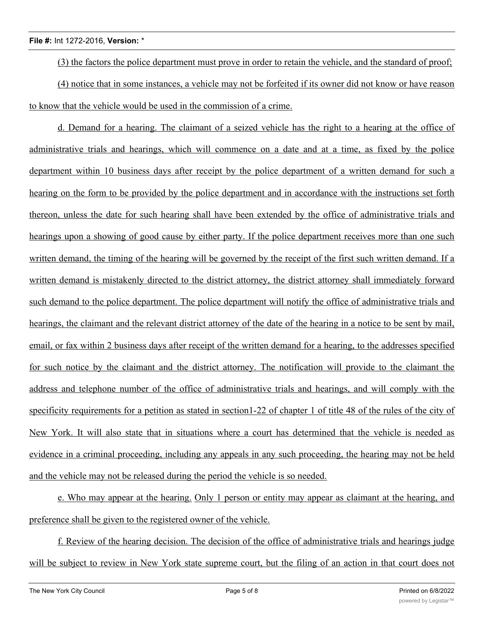(3) the factors the police department must prove in order to retain the vehicle, and the standard of proof;

(4) notice that in some instances, a vehicle may not be forfeited if its owner did not know or have reason to know that the vehicle would be used in the commission of a crime.

d. Demand for a hearing. The claimant of a seized vehicle has the right to a hearing at the office of administrative trials and hearings, which will commence on a date and at a time, as fixed by the police department within 10 business days after receipt by the police department of a written demand for such a hearing on the form to be provided by the police department and in accordance with the instructions set forth thereon, unless the date for such hearing shall have been extended by the office of administrative trials and hearings upon a showing of good cause by either party. If the police department receives more than one such written demand, the timing of the hearing will be governed by the receipt of the first such written demand. If a written demand is mistakenly directed to the district attorney, the district attorney shall immediately forward such demand to the police department. The police department will notify the office of administrative trials and hearings, the claimant and the relevant district attorney of the date of the hearing in a notice to be sent by mail, email, or fax within 2 business days after receipt of the written demand for a hearing, to the addresses specified for such notice by the claimant and the district attorney. The notification will provide to the claimant the address and telephone number of the office of administrative trials and hearings, and will comply with the specificity requirements for a petition as stated in section1-22 of chapter 1 of title 48 of the rules of the city of New York. It will also state that in situations where a court has determined that the vehicle is needed as evidence in a criminal proceeding, including any appeals in any such proceeding, the hearing may not be held and the vehicle may not be released during the period the vehicle is so needed.

e. Who may appear at the hearing. Only 1 person or entity may appear as claimant at the hearing, and preference shall be given to the registered owner of the vehicle.

f. Review of the hearing decision. The decision of the office of administrative trials and hearings judge will be subject to review in New York state supreme court, but the filing of an action in that court does not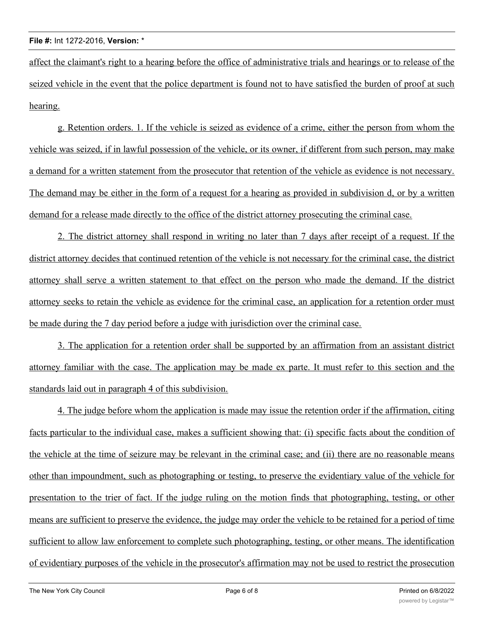affect the claimant's right to a hearing before the office of administrative trials and hearings or to release of the seized vehicle in the event that the police department is found not to have satisfied the burden of proof at such hearing.

g. Retention orders. 1. If the vehicle is seized as evidence of a crime, either the person from whom the vehicle was seized, if in lawful possession of the vehicle, or its owner, if different from such person, may make a demand for a written statement from the prosecutor that retention of the vehicle as evidence is not necessary. The demand may be either in the form of a request for a hearing as provided in subdivision d, or by a written demand for a release made directly to the office of the district attorney prosecuting the criminal case.

2. The district attorney shall respond in writing no later than 7 days after receipt of a request. If the district attorney decides that continued retention of the vehicle is not necessary for the criminal case, the district attorney shall serve a written statement to that effect on the person who made the demand. If the district attorney seeks to retain the vehicle as evidence for the criminal case, an application for a retention order must be made during the 7 day period before a judge with jurisdiction over the criminal case.

3. The application for a retention order shall be supported by an affirmation from an assistant district attorney familiar with the case. The application may be made ex parte. It must refer to this section and the standards laid out in paragraph 4 of this subdivision.

4. The judge before whom the application is made may issue the retention order if the affirmation, citing facts particular to the individual case, makes a sufficient showing that: (i) specific facts about the condition of the vehicle at the time of seizure may be relevant in the criminal case; and (ii) there are no reasonable means other than impoundment, such as photographing or testing, to preserve the evidentiary value of the vehicle for presentation to the trier of fact. If the judge ruling on the motion finds that photographing, testing, or other means are sufficient to preserve the evidence, the judge may order the vehicle to be retained for a period of time sufficient to allow law enforcement to complete such photographing, testing, or other means. The identification of evidentiary purposes of the vehicle in the prosecutor's affirmation may not be used to restrict the prosecution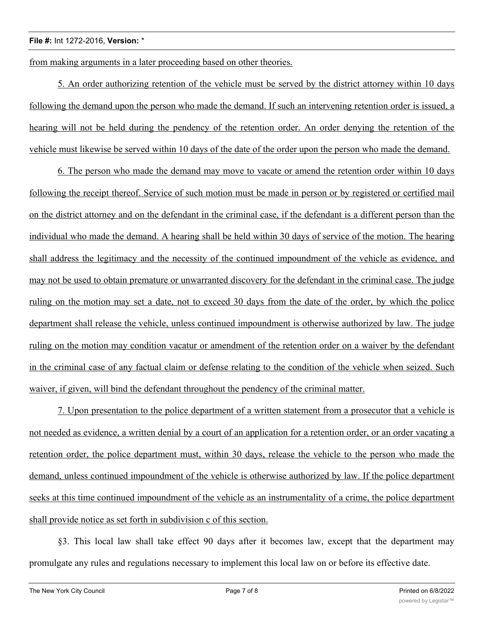from making arguments in a later proceeding based on other theories.

5. An order authorizing retention of the vehicle must be served by the district attorney within 10 days following the demand upon the person who made the demand. If such an intervening retention order is issued, a hearing will not be held during the pendency of the retention order. An order denying the retention of the vehicle must likewise be served within 10 days of the date of the order upon the person who made the demand.

6. The person who made the demand may move to vacate or amend the retention order within 10 days following the receipt thereof. Service of such motion must be made in person or by registered or certified mail on the district attorney and on the defendant in the criminal case, if the defendant is a different person than the individual who made the demand. A hearing shall be held within 30 days of service of the motion. The hearing shall address the legitimacy and the necessity of the continued impoundment of the vehicle as evidence, and may not be used to obtain premature or unwarranted discovery for the defendant in the criminal case. The judge ruling on the motion may set a date, not to exceed 30 days from the date of the order, by which the police department shall release the vehicle, unless continued impoundment is otherwise authorized by law. The judge ruling on the motion may condition vacatur or amendment of the retention order on a waiver by the defendant in the criminal case of any factual claim or defense relating to the condition of the vehicle when seized. Such waiver, if given, will bind the defendant throughout the pendency of the criminal matter.

7. Upon presentation to the police department of a written statement from a prosecutor that a vehicle is not needed as evidence, a written denial by a court of an application for a retention order, or an order vacating a retention order, the police department must, within 30 days, release the vehicle to the person who made the demand, unless continued impoundment of the vehicle is otherwise authorized by law. If the police department seeks at this time continued impoundment of the vehicle as an instrumentality of a crime, the police department shall provide notice as set forth in subdivision c of this section.

§3. This local law shall take effect 90 days after it becomes law, except that the department may promulgate any rules and regulations necessary to implement this local law on or before its effective date.